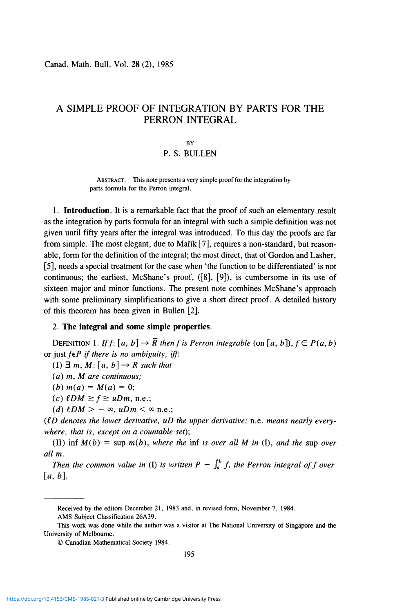Canad. Math. Bull. Vol. 28 (2), 1985

# A SIMPLE PROOF OF INTEGRATION BY PARTS FOR THE PERRON INTEGRAL

#### **BY**

## P. S. BULLEN

**ABSTRACT. This note presents a very simple proof for the integration by parts formula for the Perron integral.** 

1. **Introduction.** It is a remarkable fact that the proof of such an elementary result as the integration by parts formula for an integral with such a simple definition was not given until fifty years after the integral was introduced. To this day the proofs are far from simple. The most elegant, due to Maffk [7], requires a non-standard, but reasonable, form for the definition of the integral; the most direct, that of Gordon and Lasher, [5], needs a special treatment for the case when 'the function to be differentiated' is not continuous; the earliest, McShane's proof, ([8], [9]), is cumbersome in its use of sixteen major and minor functions. The present note combines McShane's approach with some preliminary simplifications to give a short direct proof. A detailed history of this theorem has been given in Bullen [2].

### 2. **The integral and some simple properties.**

DEFINITION 1. If  $f: [a, b] \rightarrow \overline{R}$  then f is Perron integrable (on [a, b]),  $f \in P(a, b)$ or just *feP if there is no ambiguity, iff:* 

 $(I) \exists m, M: [a, b] \rightarrow R$  such that

*(a) m, M are continuous;* 

 $(b) m(a) = M(a) = 0;$ 

 $(c)$   $\ell DM \ge f \ge uDm$ , n.e.;

*(d)*  $\ell DM > -\infty$ ,  $\mu Dm < \infty$  n.e.;

*((D denotes the lower derivative, uD the upper derivative;* n.e. *means nearly everywhere, that is, except on a countable set);* 

(II) inf  $M(b) = \sup m(b)$ , where the inf is over all M in (I), and the sup over *all m.* 

*Then the common value in* (I) is written  $P - \int_a^b f$ , the Perron integral of f over  $[a, b]$ .

**Received by the editors December 21, 1983 and, in revised form, November 7, 1984.** 

**AMS Subject Classification 26A39.** 

**This work was done while the author was a visitor at The National University of Singapore and the University of Melbourne.** 

**<sup>©</sup> Canadian Mathematical Society 1984.**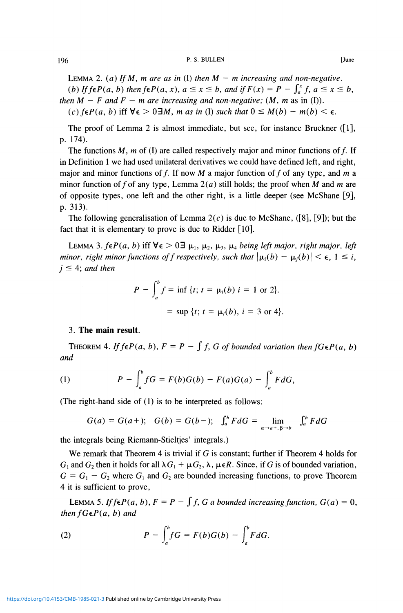### 196 **P. S. BULLEN [June**

LEMMA 2. (a) If M, m are as in (I) then  $M - m$  increasing and non-negative. *(b) If*  $\oint f \in P(a, b)$  *then*  $\oint f \in P(a, x)$ *,*  $a \leq x \leq b$ *, and if*  $F(x) = P - \int_a^x f$ *,*  $a \leq x \leq b$ *, then*  $M - F$  *and*  $F - m$  *are increasing and non-negative;*  $(M, m$  as in (I)). *(c)*  $f \in P(a, b)$  iff  $\forall \epsilon > 0 \exists M$ , *m as in (I)* such that  $0 \leq M(b) - m(b) < \epsilon$ .

The proof of Lemma 2 is almost immediate, but see, for instance Bruckner ([1], p. 174).

The functions  $M$ ,  $m$  of (I) are called respectively major and minor functions of  $f$ . If in Definition 1 we had used unilateral derivatives we could have defined left, and right, major and minor functions of f. If now M a major function of f of any type, and m a minor function of f of any type, Lemma  $2(a)$  still holds; the proof when M and m are of opposite types, one left and the other right, is a little deeper (see McShane [9], p. 313).

The following generalisation of Lemma  $2(c)$  is due to McShane, ([8], [9]); but the fact that it is elementary to prove is due to Ridder [10].

LEMMA 3.  $f \in P(a, b)$  iff  $\forall \epsilon > 0 \exists \mu_1, \mu_2, \mu_3, \mu_4$  being left major, right major, left *minor, right minor functions of f respectively, such that*  $|\mu_i(b) - \mu_i(b)| < \epsilon$ ,  $1 \le i$ ,  $j \leq 4$ ; and then

$$
P - \int_a^b f = \inf \{ t; t = \mu_i(b) \ i = 1 \text{ or } 2 \}.
$$
  
= sup {t; t = \mu\_i(b), i = 3 or 4}.

#### 3. **The main result.**

THEOREM 4. If  $f \in P(a, b)$ ,  $F = P - \int f$ , G of bounded variation then  $f G \in P(a, b)$ *and* 

(1) 
$$
P - \int_{a}^{b} fG = F(b)G(b) - F(a)G(a) - \int_{a}^{b} FdG,
$$

(The right-hand side of (1) is to be interpreted as follows:

$$
G(a) = G(a+); \quad G(b) = G(b-); \quad \int_a^b F dG = \lim_{\alpha \to a^+, \beta \to b^-} \int_a^b F dG
$$

the integrals being Riemann-Stieltjes' integrals.)

We remark that Theorem 4 is trivial if *G* is constant; further if Theorem 4 holds for  $G_1$  and  $G_2$  then it holds for all  $\lambda G_1 + \mu G_2$ ,  $\lambda$ ,  $\mu \in \mathbb{R}$ . Since, if G is of bounded variation,  $G = G_1 - G_2$  where  $G_1$  and  $G_2$  are bounded increasing functions, to prove Theorem 4 it is sufficient to prove,

LEMMA 5. If  $f \in P(a, b)$ ,  $F = P - \int f$ , G a bounded increasing function,  $G(a) = 0$ , *then*  $f \cdot F(a, b)$  *and* 

(2) 
$$
P - \int_{a}^{b} fG = F(b)G(b) - \int_{a}^{b} FdG.
$$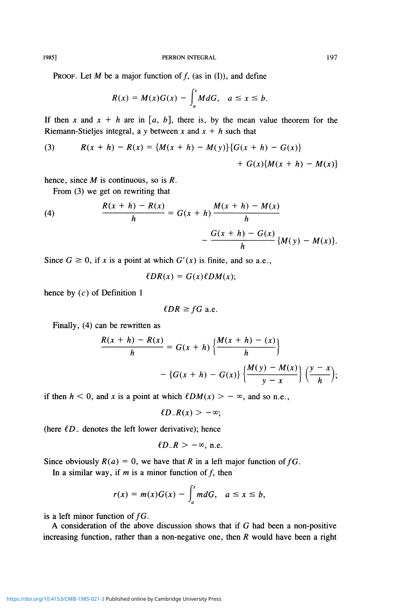**1985] PERRON INTEGRAL 197** 

**PROOF.** Let M be a major function of f, (as in (I)), and define

$$
R(x) = M(x)G(x) - \int_a^x M dG, \quad a \leq x \leq b.
$$

If then x and  $x + h$  are in [a, b], there is, by the mean value theorem for the Riemann-Stieljes integral, a y between x and  $x + h$  such that

(3) 
$$
R(x+h) - R(x) = \{M(x+h) - M(y)\}\{G(x+h) - G(x)\} + G(x)\{M(x+h) - M(x)\}
$$

hence, since M is continuous, so is *R.* 

From (3) we get on rewriting that

(4) 
$$
\frac{R(x+h) - R(x)}{h} = G(x+h) \frac{M(x+h) - M(x)}{h} - \frac{G(x+h) - G(x)}{h} \{M(y) - M(x)\}.
$$

Since  $G \ge 0$ , if x is a point at which  $G'(x)$  is finite, and so a.e.,

$$
\ell DR(x) = G(x)\ell DM(x);
$$

hence by  $(c)$  of Definition 1

$$
\ell DR \geq fG \text{ a.e.}
$$

Finally, (4) can be rewritten as

$$
\frac{R(x+h) - R(x)}{h} = G(x+h) \left\{ \frac{M(x+h) - (x)}{h} \right\}
$$

$$
- \left\{ G(x+h) - G(x) \right\} \left\{ \frac{M(y) - M(x)}{y-x} \right\} \left( \frac{y-x}{h} \right);
$$

if then  $h < 0$ , and x is a point at which  $\ell DM(x) > -\infty$ , and so n.e.,

$$
\ell D_{-}R(x) > -\infty;
$$

(here  $\ell D$  denotes the left lower derivative); hence

$$
\ell D_{-}R > -\infty, \text{ n.e.}
$$

Since obviously  $R(a) = 0$ , we have that R in a left major function of fG.

In a similar way, if  $m$  is a minor function of  $f$ , then

$$
r(x) = m(x)G(x) - \int_a^x mdG, \quad a \leq x \leq b,
$$

is a left minor function of *fG.* 

A consideration of the above discussion shows that if *G* had been a non-positive increasing function, rather than a non-negative one, then *R* would have been a right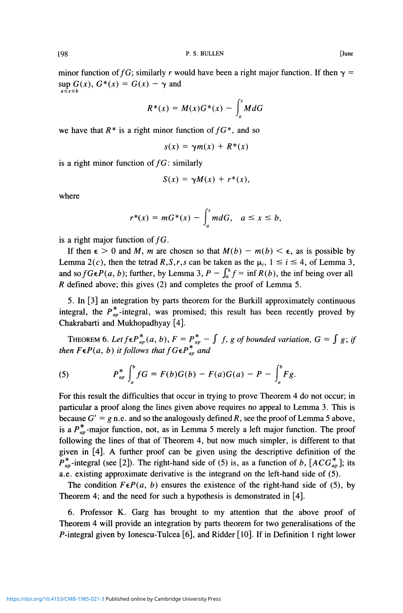minor function of fG; similarly r would have been a right major function. If then  $\gamma$  = sup  $G(x)$ ,  $G^*(x) = G(x) - \gamma$  and  $a \leq r \leq b$ 

$$
R^*(x) = M(x)G^*(x) - \int_a^x M dG
$$

we have that  $R^*$  is a right minor function of  $fG^*$ , and so

$$
s(x) = \gamma m(x) + R^*(x)
$$

is a right minor function of  $fG$ : similarly

$$
S(x) = \gamma M(x) + r^*(x),
$$

where

$$
r^*(x) = mG^*(x) - \int_a^x mdG, \quad a \leq x \leq b,
$$

is a right major function of  $fG$ .

If then  $\epsilon > 0$  and M, m are chosen so that  $M(b) - m(b) < \epsilon$ , as is possible by Lemma 2(c), then the tetrad  $R, S, r, s$  can be taken as the  $\mu_i$ ,  $1 \le i \le 4$ , of Lemma 3, and so  $fG \in P(a, b)$ ; further, by Lemma 3,  $P - \int_a^b f = \inf R(b)$ , the inf being over all *R* defined above; this gives (2) and completes the proof of Lemma 5.

5. In [3] an integration by parts theorem for the Burkill approximately continuous integral, the  $P_{ap}^*$ -integral, was promised; this result has been recently proved by Chakrabarti and Mukhopadhyay [4].

THEOREM 6. Let  $f \in P_{ap}^{*}(a, b)$ ,  $F = P_{ap}^{*} - \int f$ , g of bounded variation,  $G = \int g$ ; if *then*  $F \in P(a, b)$  *it follows that*  $f G \in P_{ap}^*$  *and* 

(5) 
$$
P_{ap}^* \int_a^b f G = F(b)G(b) - F(a)G(a) - P - \int_a^b F g.
$$

For this result the difficulties that occur in trying to prove Theorem 4 do not occur; in particular a proof along the lines given above requires no appeal to Lemma 3. This is because  $G' = g$  n.e. and so the analogously defined R, see the proof of Lemma 5 above, is a  $P_{ap}^{*}$ -major function, not, as in Lemma 5 merely a left major function. The proof following the lines of that of Theorem 4, but now much simpler, is different to that given in [4]. A further proof can be given using the descriptive definition of the  $P_{ap}^{*}$ -integral (see [2]). The right-hand side of (5) is, as a function of *b*,  $[ACG_{ap}^{*}]$ ; its a.e. existing approximate derivative is the integrand on the left-hand side of (5).

The condition  $F \in P(a, b)$  ensures the existence of the right-hand side of (5), by Theorem 4; and the need for such a hypothesis is demonstrated in [4].

6. Professor K. Garg has brought to my attention that the above proof of Theorem 4 will provide an integration by parts theorem for two generalisations of the P-integral given by Ionescu-Tulcea [6], and Ridder [10]. If in Definition 1 right lower